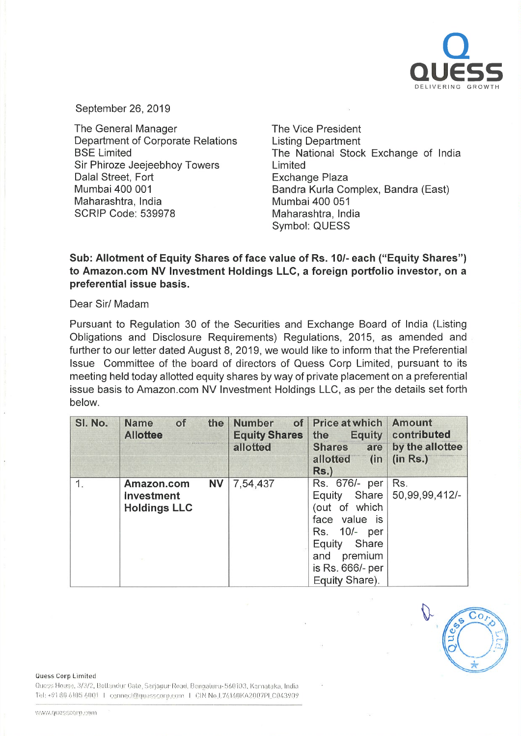

September 26, 2019

The General Manager **Department of Corporate Relations BSE Limited** Sir Phiroze Jeejeebhoy Towers Dalal Street, Fort Mumbai 400 001 Maharashtra, India **SCRIP Code: 539978** 

The Vice President **Listing Department** The National Stock Exchange of India Limited **Exchange Plaza** Bandra Kurla Complex, Bandra (East) Mumbai 400 051 Maharashtra, India Symbol: QUESS

## Sub: Allotment of Equity Shares of face value of Rs. 10/- each ("Equity Shares") to Amazon.com NV Investment Holdings LLC, a foreign portfolio investor, on a preferential issue basis.

Dear Sir/ Madam

Pursuant to Regulation 30 of the Securities and Exchange Board of India (Listing Obligations and Disclosure Requirements) Regulations, 2015, as amended and further to our letter dated August 8, 2019, we would like to inform that the Preferential Issue Committee of the board of directors of Quess Corp Limited, pursuant to its meeting held today allotted equity shares by way of private placement on a preferential issue basis to Amazon.com NV Investment Holdings LLC, as per the details set forth below.

| SI. No. | of<br><b>Name</b><br>the<br><b>Allottee</b>                  | <b>Number</b><br>of<br><b>Equity Shares</b><br>allotted | <b>Price at which</b><br><b>Equity</b><br>the<br><b>Shares</b><br>are<br>allotted<br>(in<br>Rs.                                                                  | <b>Amount</b><br>contributed<br>by the allottee<br>(in Rs.) |
|---------|--------------------------------------------------------------|---------------------------------------------------------|------------------------------------------------------------------------------------------------------------------------------------------------------------------|-------------------------------------------------------------|
|         | <b>NV</b><br>Amazon.com<br>Investment<br><b>Holdings LLC</b> | 7,54,437                                                | Rs. 676/- per<br>Share<br>Equity<br>(out of which<br>face value is<br>10/- per<br>Rs.<br>Share<br>Equity<br>and<br>premium<br>is Rs. 666/- per<br>Equity Share). | Rs.<br>50,99,99,412/-                                       |

Quess Corp Limited

Quess House, 3/3/2, Bellandur Gate, Sarjapur Road, Bengaluru-560103, Karnataka, India Tel: +91 80 6105 6001 | connect@quesscorp.com | CIN No.L74140KA2007PLC043909